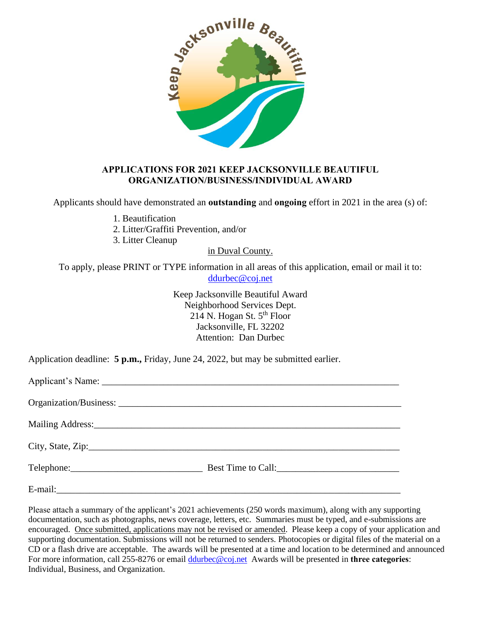

#### **APPLICATIONS FOR 2021 KEEP JACKSONVILLE BEAUTIFUL ORGANIZATION/BUSINESS/INDIVIDUAL AWARD**

Applicants should have demonstrated an **outstanding** and **ongoing** effort in 2021 in the area (s) of:

- 1. Beautification
- 2. Litter/Graffiti Prevention, and/or
- 3. Litter Cleanup

in Duval County.

To apply, please PRINT or TYPE information in all areas of this application, email or mail it to: [ddurbec@coj.net](mailto:vharrell@coj.net)

> Keep Jacksonville Beautiful Award Neighborhood Services Dept. 214 N. Hogan St.  $5<sup>th</sup>$  Floor Jacksonville, FL 32202 Attention: Dan Durbec

Application deadline: **5 p.m.,** Friday, June 24, 2022, but may be submitted earlier.

Please attach a summary of the applicant's 2021 achievements (250 words maximum), along with any supporting documentation, such as photographs, news coverage, letters, etc. Summaries must be typed, and e-submissions are encouraged. Once submitted, applications may not be revised or amended. Please keep a copy of your application and supporting documentation. Submissions will not be returned to senders. Photocopies or digital files of the material on a CD or a flash drive are acceptable. The awards will be presented at a time and location to be determined and announced For more information, call 255-8276 or email [ddurbec@coj.net](mailto:ddurbec@coj.net) Awards will be presented in **three categories**: Individual, Business, and Organization.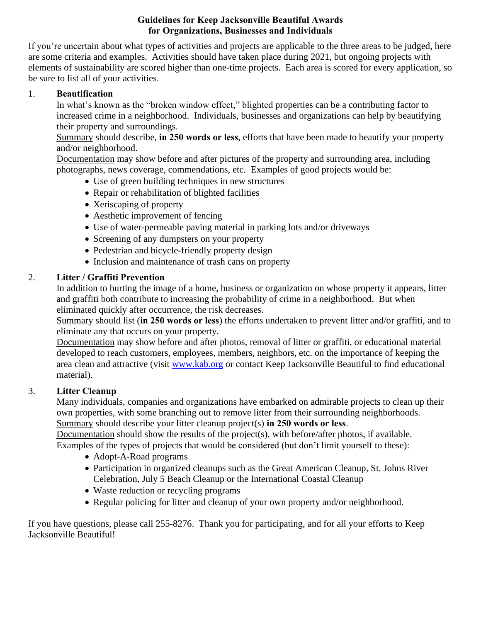# **Guidelines for Keep Jacksonville Beautiful Awards for Organizations, Businesses and Individuals**

If you're uncertain about what types of activities and projects are applicable to the three areas to be judged, here are some criteria and examples. Activities should have taken place during 2021, but ongoing projects with elements of sustainability are scored higher than one-time projects. Each area is scored for every application, so be sure to list all of your activities.

### 1. **Beautification**

In what's known as the "broken window effect," blighted properties can be a contributing factor to increased crime in a neighborhood. Individuals, businesses and organizations can help by beautifying their property and surroundings.

Summary should describe, **in 250 words or less**, efforts that have been made to beautify your property and/or neighborhood.

Documentation may show before and after pictures of the property and surrounding area, including photographs, news coverage, commendations, etc. Examples of good projects would be:

- Use of green building techniques in new structures
- Repair or rehabilitation of blighted facilities
- Xeriscaping of property
- Aesthetic improvement of fencing
- Use of water-permeable paving material in parking lots and/or driveways
- Screening of any dumpsters on your property
- Pedestrian and bicycle-friendly property design
- Inclusion and maintenance of trash cans on property

# 2. **Litter / Graffiti Prevention**

In addition to hurting the image of a home, business or organization on whose property it appears, litter and graffiti both contribute to increasing the probability of crime in a neighborhood. But when eliminated quickly after occurrence, the risk decreases.

Summary should list (**in 250 words or less**) the efforts undertaken to prevent litter and/or graffiti, and to eliminate any that occurs on your property.

Documentation may show before and after photos, removal of litter or graffiti, or educational material developed to reach customers, employees, members, neighbors, etc. on the importance of keeping the area clean and attractive (visit [www.kab.org](http://www.kab.org/) or contact Keep Jacksonville Beautiful to find educational material).

# 3. **Litter Cleanup**

Many individuals, companies and organizations have embarked on admirable projects to clean up their own properties, with some branching out to remove litter from their surrounding neighborhoods. Summary should describe your litter cleanup project(s) **in 250 words or less**.

Documentation should show the results of the project(s), with before/after photos, if available. Examples of the types of projects that would be considered (but don't limit yourself to these):

- Adopt-A-Road programs
- Participation in organized cleanups such as the Great American Cleanup, St. Johns River Celebration, July 5 Beach Cleanup or the International Coastal Cleanup
- Waste reduction or recycling programs
- Regular policing for litter and cleanup of your own property and/or neighborhood.

If you have questions, please call 255-8276. Thank you for participating, and for all your efforts to Keep Jacksonville Beautiful!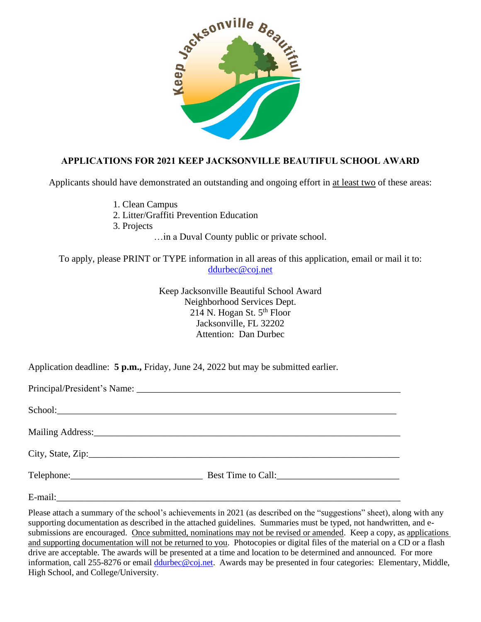

# **APPLICATIONS FOR 2021 KEEP JACKSONVILLE BEAUTIFUL SCHOOL AWARD**

Applicants should have demonstrated an outstanding and ongoing effort in at least two of these areas:

1. Clean Campus

2. Litter/Graffiti Prevention Education

3. Projects

…in a Duval County public or private school.

To apply, please PRINT or TYPE information in all areas of this application, email or mail it to: [ddurbec@coj.net](mailto:vharrell@coj.net)

> Keep Jacksonville Beautiful School Award Neighborhood Services Dept. 214 N. Hogan St.  $5<sup>th</sup>$  Floor Jacksonville, FL 32202 Attention: Dan Durbec

Application deadline: **5 p.m.,** Friday, June 24, 2022 but may be submitted earlier.

Please attach a summary of the school's achievements in 2021 (as described on the "suggestions" sheet), along with any supporting documentation as described in the attached guidelines. Summaries must be typed, not handwritten, and esubmissions are encouraged. Once submitted, nominations may not be revised or amended. Keep a copy, as applications and supporting documentation will not be returned to you. Photocopies or digital files of the material on a CD or a flash drive are acceptable. The awards will be presented at a time and location to be determined and announced. For more information, call 255-8276 or email [ddurbec@coj.net.](mailto:ddurbec@coj.net) Awards may be presented in four categories: Elementary, Middle, High School, and College/University.